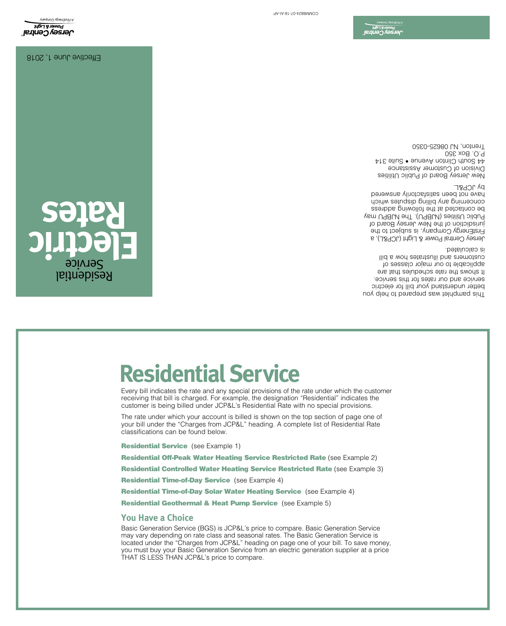Basic Generation Service (BGS) is JCP&L's price to compare. Basic Generation Service may vary depending on rate class and seasonal rates. The Basic Generation Service is located under the "Charges from JCP&L" heading on page one of your bill. To save money, you must buy your Basic Generation Service from an electric generation supplier at a price THAT IS LESS THAN JCP&L's price to compare.

**Residential Controlled Water Heating Service Restricted Rate (see Example 3)** 

Every bill indicates the rate and any special provisions of the rate under which the customer receiving that bill is charged. For example, the designation "Residential" indicates the customer is being billed under JCP&L's Residential Rate with no special provisions. The rate under which your account is billed is shown on the top section of page one of your bill under the "Charges from JCP&L" heading. A complete list of Residential Rate

Residential Geothermal & Heat Pump Service (see Example 5)

Residential Time-of-Day Solar Water Heating Service (see Example 4)

Residential Time-of-Day Service (see Example 4)

**Residential Service** (see Example 1) Residential Off-Peak Water Heating Service Restricted Rate (see Example 2)

**Residential Service**

classifications can be found below.

**You Have a Choice**

This pamphlet was prepared to help you better understand your bill for electric service and our rates for this service. It shows the rate schedules that are applicable to our major classes of customers and illustrates how a bill is calculated.

Jersey Central Power & Light (JCP&L), a FirstEnergy Company, is subject to the jurisdiction of the New Jersey Board of Public Utilities (NJBPU). The NJBPU may contacted at the following address be concerning any pilling painting which have not been satisfactorily answered by JCP&L.

New Jersey Board of Public Utilities Division of Customer Assistance 44 South Clinton Avenue • Suite 314 P.O. Box 350 Trenton, NJ 08625-0350

Effective June 1, 2018

**Electric** 

Residential Service

**Rates**



COMM8824-07-18-AI-AP

D**ersey Centra**<br>J**ersey Centra**